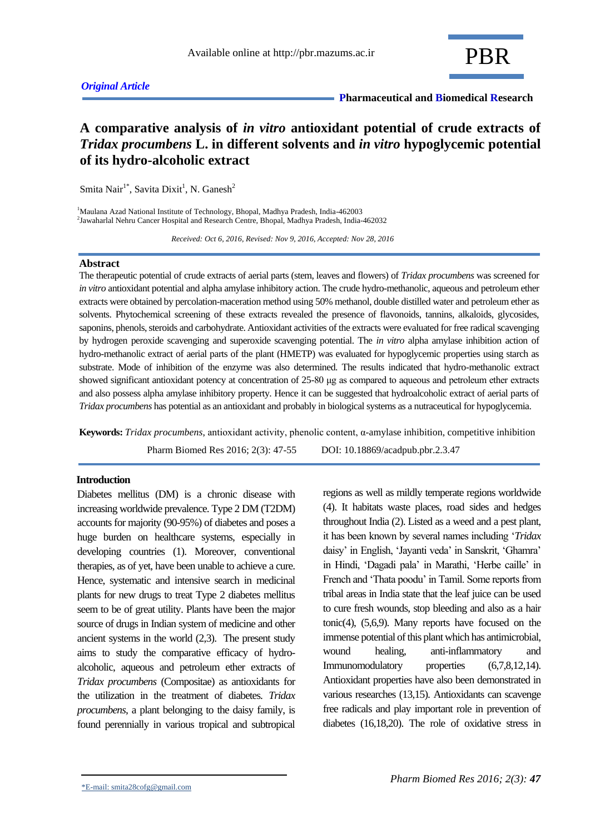# *Original Article*

 **Pharmaceutical and Biomedical Research**

# **A comparative analysis of** *in vitro* **antioxidant potential of crude extracts of**  *Tridax procumbens* **L. in different solvents and** *in vitro* **hypoglycemic potential of its hydro-alcoholic extract**

Smita Nair<sup>1\*</sup>, Savita Dixit<sup>1</sup>, N. Ganesh<sup>2</sup>

<sup>1</sup>Maulana Azad National Institute of Technology, Bhopal, Madhya Pradesh, India-462003 2 Jawaharlal Nehru Cancer Hospital and Research Centre, Bhopal, Madhya Pradesh, India-462032

 *Received: Oct 6, 2016, Revised: Nov 9, 2016, Accepted: Nov 28, 2016*

#### **Abstract**

The therapeutic potential of crude extracts of aerial parts (stem, leaves and flowers) of *Tridax procumbens* was screened for *in vitro* antioxidant potential and alpha amylase inhibitory action. The crude hydro-methanolic, aqueous and petroleum ether extracts were obtained by percolation-maceration method using 50% methanol, double distilled water and petroleum ether as solvents. Phytochemical screening of these extracts revealed the presence of flavonoids, tannins, alkaloids, glycosides, saponins, phenols, steroids and carbohydrate. Antioxidant activities of the extracts were evaluated for free radical scavenging by hydrogen peroxide scavenging and superoxide scavenging potential. The *in vitro* alpha amylase inhibition action of hydro-methanolic extract of aerial parts of the plant (HMETP) was evaluated for hypoglycemic properties using starch as substrate. Mode of inhibition of the enzyme was also determined. The results indicated that hydro-methanolic extract showed significant antioxidant potency at concentration of 25-80 μg as compared to aqueous and petroleum ether extracts and also possess alpha amylase inhibitory property. Hence it can be suggested that hydroalcoholic extract of aerial parts of *Tridax procumbens* has potential as an antioxidant and probably in biological systems as a nutraceutical for hypoglycemia.

**Keywords:** *Tridax procumbens*, antioxidant activity, phenolic content, α-amylase inhibition, competitive inhibition

Pharm Biomed Res 2016; 2(3): 47-55 DOI: 10.18869/acadpub.pbr.2.3.47

#### **Introduction**

Diabetes mellitus (DM) is a chronic disease with increasing worldwide prevalence. Type 2 DM (T2DM) accounts for majority (90-95%) of diabetes and poses a huge burden on healthcare systems, especially in developing countries (1). Moreover, conventional therapies, as of yet, have been unable to achieve a cure. Hence, systematic and intensive search in medicinal plants for new drugs to treat Type 2 diabetes mellitus seem to be of great utility. Plants have been the major source of drugs in Indian system of medicine and other ancient systems in the world (2,3). The present study aims to study the comparative efficacy of hydroalcoholic, aqueous and petroleum ether extracts of *Tridax procumbens* (Compositae) as antioxidants for the utilization in the treatment of diabetes. *Tridax procumbens*, a plant belonging to the daisy family, is found perennially in various tropical and subtropical

regions as well as mildly temperate regions worldwide (4). It habitats waste places, road sides and hedges throughout India (2). Listed as a weed and a pest plant, it has been known by several names including '*Tridax*  daisy' in English, 'Jayanti veda' in Sanskrit, 'Ghamra' in Hindi, 'Dagadi pala' in Marathi, 'Herbe caille' in French and 'Thata poodu' in Tamil. Some reports from tribal areas in India state that the leaf juice can be used to cure fresh wounds, stop bleeding and also as a hair tonic(4), (5,6,9). Many reports have focused on the immense potential of this plant which has antimicrobial, wound healing, anti-inflammatory and Immunomodulatory properties (6,7,8,12,14). Antioxidant properties have also been demonstrated in various researches (13,15). Antioxidants can scavenge free radicals and play important role in prevention of diabetes (16,18,20). The role of oxidative stress in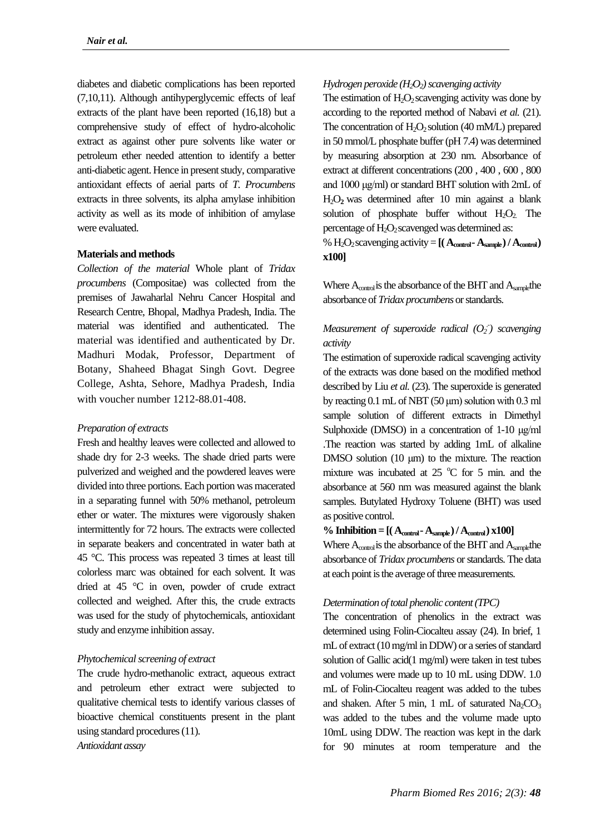diabetes and diabetic complications has been reported (7,10,11). Although antihyperglycemic effects of leaf extracts of the plant have been reported (16,18) but a comprehensive study of effect of hydro-alcoholic extract as against other pure solvents like water or petroleum ether needed attention to identify a better anti-diabetic agent. Hence in present study, comparative antioxidant effects of aerial parts of *T. Procumbens* extracts in three solvents, its alpha amylase inhibition activity as well as its mode of inhibition of amylase were evaluated.

## **Materials and methods**

*Collection of the material* Whole plant of *Tridax procumbens* (Compositae) was collected from the premises of Jawaharlal Nehru Cancer Hospital and Research Centre, Bhopal, Madhya Pradesh, India. The material was identified and authenticated. The material was identified and authenticated by Dr. Madhuri Modak, Professor, Department of Botany, Shaheed Bhagat Singh Govt. Degree College, Ashta, Sehore, Madhya Pradesh, India with voucher number 1212-88.01-408.

# *Preparation of extracts*

Fresh and healthy leaves were collected and allowed to shade dry for 2-3 weeks. The shade dried parts were pulverized and weighed and the powdered leaves were divided into three portions. Each portion was macerated in a separating funnel with 50% methanol, petroleum ether or water. The mixtures were vigorously shaken intermittently for 72 hours. The extracts were collected in separate beakers and concentrated in water bath at 45 °C. This process was repeated 3 times at least till colorless marc was obtained for each solvent. It was dried at 45 °C in oven, powder of crude extract collected and weighed. After this, the crude extracts was used for the study of phytochemicals, antioxidant study and enzyme inhibition assay.

# *Phytochemical screening of extract*

The crude hydro-methanolic extract, aqueous extract and petroleum ether extract were subjected to qualitative chemical tests to identify various classes of bioactive chemical constituents present in the plant using standard procedures (11).

*Antioxidant assay*

# *Hydrogen peroxide (H2O2) scavenging activity*

The estimation of  $H_2O_2$  scavenging activity was done by according to the reported method of Nabavi *et al.* (21). The concentration of  $H_2O_2$  solution (40 mM/L) prepared in 50 mmol/L phosphate buffer (pH 7.4) was determined by measuring absorption at 230 nm. Absorbance of extract at different concentrations (200 , 400 , 600 , 800 and 1000 μg/ml) or standard BHT solution with 2mL of H2O**2** was determined after 10 min against a blank solution of phosphate buffer without  $H_2O_2$ . The percentage of  $H_2O_2$  scavenged was determined as:

%  $H_2O_2$  scavenging activity =  $[($   $A_{\text{control}} - A_{\text{sample}}) / A_{\text{control}})$ **x100]**

Where  $A_{control}$  is the absorbance of the BHT and  $A_{sample}$ the absorbance of *Tridax procumbens* orstandards.

# *Measurement of superoxide radical (O<sup>2</sup> .- ) scavenging activity*

The estimation of superoxide radical scavenging activity of the extracts was done based on the modified method described by Liu *et al.* (23). The superoxide is generated by reacting 0.1 mL of NBT (50 μm) solution with 0.3 ml sample solution of different extracts in Dimethyl Sulphoxide (DMSO) in a concentration of 1-10 μg/ml .The reaction was started by adding 1mL of alkaline DMSO solution (10 μm) to the mixture. The reaction mixture was incubated at  $25^{\circ}$ C for 5 min. and the absorbance at 560 nm was measured against the blank samples. Butylated Hydroxy Toluene (BHT) was used as positive control.

# $\%$  Inhibition =  $[($  A<sub>control</sub>  $\text{-}$  A<sub>sample</sub> $)$  / A<sub>control</sub> $)$  x100]

Where  $A_{control}$  is the absorbance of the BHT and  $A_{sample}$ the absorbance of *Tridax procumbens* orstandards. The data at each point is the average of three measurements.

# *Determination of total phenolic content (TPC)*

The concentration of phenolics in the extract was determined using Folin-Ciocalteu assay (24). In brief, 1 mL of extract (10 mg/ml in DDW) or a series of standard solution of Gallic acid(1 mg/ml) were taken in test tubes and volumes were made up to 10 mL using DDW. 1.0 mL of Folin-Ciocalteu reagent was added to the tubes and shaken. After 5 min, 1 mL of saturated  $Na_2CO_3$ was added to the tubes and the volume made upto 10mL using DDW. The reaction was kept in the dark for 90 minutes at room temperature and the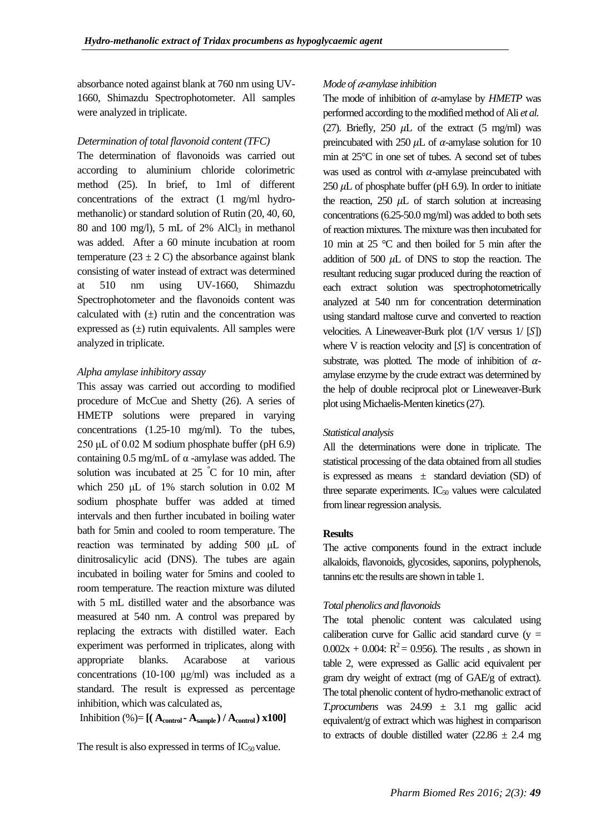absorbance noted against blank at 760 nm using UV-1660, Shimazdu Spectrophotometer. All samples were analyzed in triplicate.

## *Determination of total flavonoid content (TFC)*

The determination of flavonoids was carried out according to aluminium chloride colorimetric method (25). In brief, to 1ml of different concentrations of the extract (1 mg/ml hydromethanolic) or standard solution of Rutin (20, 40, 60, 80 and 100 mg/l), 5 mL of 2% AlCl<sub>3</sub> in methanol was added. After a 60 minute incubation at room temperature (23  $\pm$  2 C) the absorbance against blank consisting of water instead of extract was determined at 510 nm using UV-1660, Shimazdu Spectrophotometer and the flavonoids content was calculated with  $(\pm)$  rutin and the concentration was expressed as  $(\pm)$  rutin equivalents. All samples were analyzed in triplicate.

#### *Alpha amylase inhibitory assay*

This assay was carried out according to modified procedure of McCue and Shetty (26). A series of HMETP solutions were prepared in varying concentrations (1.25-10 mg/ml). To the tubes,  $250 \mu L$  of 0.02 M sodium phosphate buffer (pH 6.9) containing 0.5 mg/mL of α -amylase was added. The solution was incubated at 25 **°**C for 10 min, after which 250 μL of 1% starch solution in 0.02 M sodium phosphate buffer was added at timed intervals and then further incubated in boiling water bath for 5min and cooled to room temperature. The reaction was terminated by adding 500 μL of dinitrosalicylic acid (DNS). The tubes are again incubated in boiling water for 5mins and cooled to room temperature. The reaction mixture was diluted with 5 mL distilled water and the absorbance was measured at 540 nm. A control was prepared by replacing the extracts with distilled water. Each experiment was performed in triplicates, along with appropriate blanks. Acarabose at various concentrations (10-100 μg/ml) was included as a standard. The result is expressed as percentage inhibition, which was calculated as,

Inhibition  $(\% ) = [ ( \mathbf{A}_{control} \cdot \mathbf{A}_{sample} ) / \mathbf{A}_{control} ) \times 100 ]$ 

The result is also expressed in terms of  $IC_{50}$  value.

## *Mode of -amylase inhibition*

The mode of inhibition of  $\alpha$ -amylase by *HMETP* was performed according to the modified method of Ali *et al.* (27). Briefly, 250  $\mu$ L of the extract (5 mg/ml) was preincubated with 250  $\mu$ L of  $\alpha$ -amylase solution for 10 min at 25°C in one set of tubes. A second set of tubes was used as control with  $\alpha$ -amylase preincubated with 250  $\mu$ L of phosphate buffer (pH 6.9). In order to initiate the reaction,  $250 \mu L$  of starch solution at increasing concentrations (6.25-50.0 mg/ml) was added to both sets of reaction mixtures. The mixture was then incubated for 10 min at 25 °C and then boiled for 5 min after the addition of  $500 \mu L$  of DNS to stop the reaction. The resultant reducing sugar produced during the reaction of each extract solution was spectrophotometrically analyzed at 540 nm for concentration determination using standard maltose curve and converted to reaction velocities. A Lineweaver-Burk plot  $(1/\text{V}$  versus  $1/[S])$ where  $V$  is reaction velocity and  $[S]$  is concentration of substrate, was plotted. The mode of inhibition of  $\alpha$ amylase enzyme by the crude extract was determined by the help of double reciprocal plot or Lineweaver-Burk plot using Michaelis-Menten kinetics (27).

## *Statistical analysis*

All the determinations were done in triplicate. The statistical processing of the data obtained from all studies is expressed as means  $\pm$  standard deviation (SD) of three separate experiments.  $IC_{50}$  values were calculated from linear regression analysis.

#### **Results**

The active components found in the extract include alkaloids, flavonoids, glycosides, saponins, polyphenols, tannins etc the results are shown in table 1.

## *Total phenolics and flavonoids*

The total phenolic content was calculated using caliberation curve for Gallic acid standard curve  $(y =$  $0.002x + 0.004$ :  $R^2 = 0.956$ . The results, as shown in table 2, were expressed as Gallic acid equivalent per gram dry weight of extract (mg of GAE/g of extract). The total phenolic content of hydro-methanolic extract of *T.procumbens* was 24.99 ± 3.1 mg gallic acid equivalent/g of extract which was highest in comparison to extracts of double distilled water  $(22.86 \pm 2.4 \text{ mg})$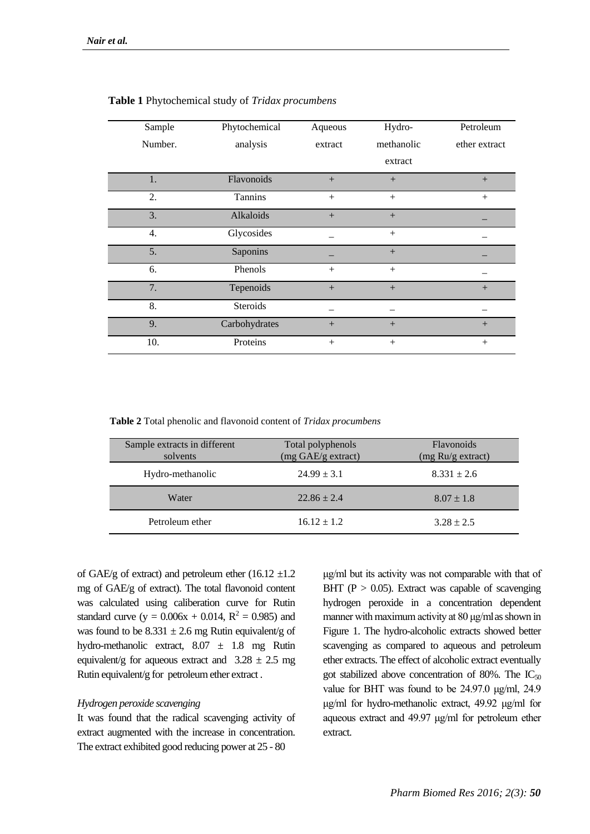| Sample  | Phytochemical   | Aqueous | Hydro-     | Petroleum     |
|---------|-----------------|---------|------------|---------------|
| Number. | analysis        | extract | methanolic | ether extract |
|         |                 |         | extract    |               |
| 1.      | Flavonoids      | $+$     | $+$        | $+$           |
| 2.      | Tannins         | $^{+}$  | $+$        | $^{+}$        |
| 3.      | Alkaloids       | $+$     | $+$        |               |
| 4.      | Glycosides      |         | $+$        |               |
| 5.      | Saponins        |         | $^{+}$     |               |
| 6.      | Phenols         | $+$     | $+$        |               |
| 7.      | Tepenoids       | $+$     | $+$        | $+$           |
| 8.      | <b>Steroids</b> |         |            |               |
| 9.      | Carbohydrates   | $+$     | $+$        | $^{+}$        |
| 10.     | Proteins        | $^{+}$  | $+$        | $^{+}$        |

## **Table 1** Phytochemical study of *Tridax procumbens*

**Table 2** Total phenolic and flavonoid content of *Tridax procumbens*

| Sample extracts in different<br>solvents | Total polyphenols<br>(mg GAE/g extract) | <b>Flavonoids</b><br>(mg Ru/g extract) |
|------------------------------------------|-----------------------------------------|----------------------------------------|
| Hydro-methanolic                         | $24.99 \pm 3.1$                         | $8.331 \pm 2.6$                        |
| Water                                    | $22.86 \pm 2.4$                         | $8.07 \pm 1.8$                         |
| Petroleum ether                          | $16.12 \pm 1.2$                         | $3.28 \pm 2.5$                         |

of GAE/g of extract) and petroleum ether  $(16.12 \pm 1.2)$ mg of GAE/g of extract). The total flavonoid content was calculated using caliberation curve for Rutin standard curve ( $y = 0.006x + 0.014$ ,  $R^2 = 0.985$ ) and was found to be  $8.331 \pm 2.6$  mg Rutin equivalent/g of hydro-methanolic extract, 8.07 ± 1.8 mg Rutin equivalent/g for aqueous extract and  $3.28 \pm 2.5$  mg Rutin equivalent/g for petroleum ether extract .

## *Hydrogen peroxide scavenging*

It was found that the radical scavenging activity of extract augmented with the increase in concentration. The extract exhibited good reducing power at 25 - 80

μg/ml but its activity was not comparable with that of BHT ( $P > 0.05$ ). Extract was capable of scavenging hydrogen peroxide in a concentration dependent manner with maximum activity at 80 μg/mlas shown in Figure 1. The hydro-alcoholic extracts showed better scavenging as compared to aqueous and petroleum ether extracts. The effect of alcoholic extract eventually got stabilized above concentration of 80%. The  $IC_{50}$ value for BHT was found to be 24.97.0 μg/ml, 24.9 μg/ml for hydro-methanolic extract, 49.92 μg/ml for aqueous extract and 49.97 μg/ml for petroleum ether extract.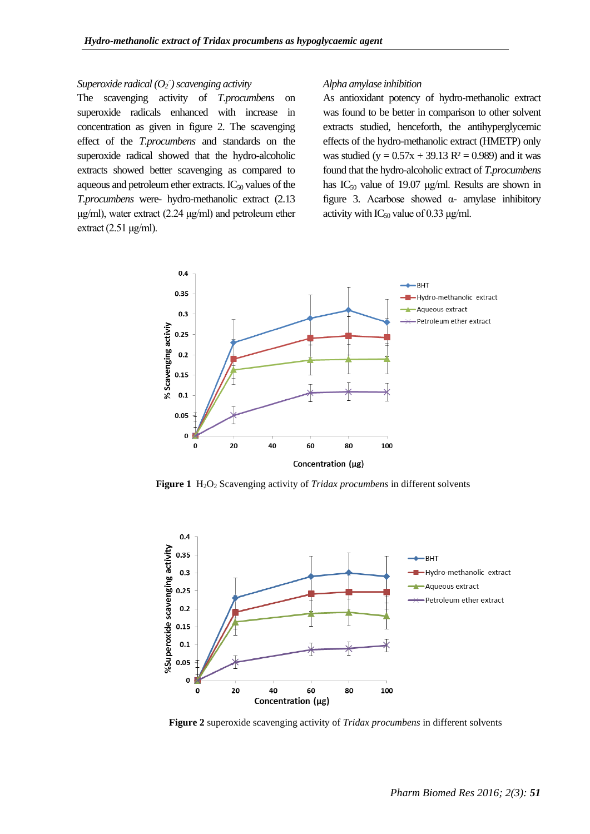# *Superoxide radical (O<sup>2</sup> .- ) scavenging activity*

The scavenging activity of *T.procumbens* on superoxide radicals enhanced with increase in concentration as given in figure 2. The scavenging effect of the *T.procumbens* and standards on the superoxide radical showed that the hydro-alcoholic extracts showed better scavenging as compared to aqueous and petroleum ether extracts.  $IC_{50}$  values of the *T.procumbens* were- hydro-methanolic extract (2.13 μg/ml), water extract (2.24 μg/ml) and petroleum ether extract  $(2.51 \,\mu g/ml)$ .

#### *Alpha amylase inhibition*

As antioxidant potency of hydro-methanolic extract was found to be better in comparison to other solvent extracts studied, henceforth, the antihyperglycemic effects of the hydro-methanolic extract (HMETP) only was studied (y =  $0.57x + 39.13$  R<sup>2</sup> = 0.989) and it was found that the hydro-alcoholic extract of *T.procumbens* has  $IC_{50}$  value of 19.07 μg/ml. Results are shown in figure 3. Acarbose showed α- amylase inhibitory activity with  $IC_{50}$  value of 0.33 μg/ml.



**Figure 1** H<sub>2</sub>O<sub>2</sub> Scavenging activity of *Tridax procumbens* in different solvents



**Figure 2** superoxide scavenging activity of *Tridax procumbens* in different solvents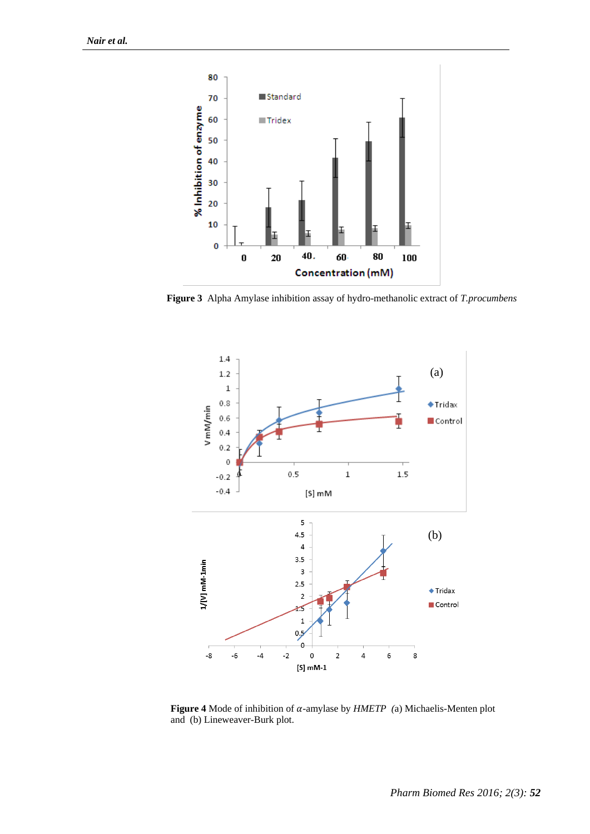

**Figure 3** Alpha Amylase inhibition assay of hydro-methanolic extract of *T.procumbens*



**Figure 4** Mode of inhibition of  $\alpha$ -amylase by  $HMETP$  (a) Michaelis-Menten plot and (b) Lineweaver-Burk plot.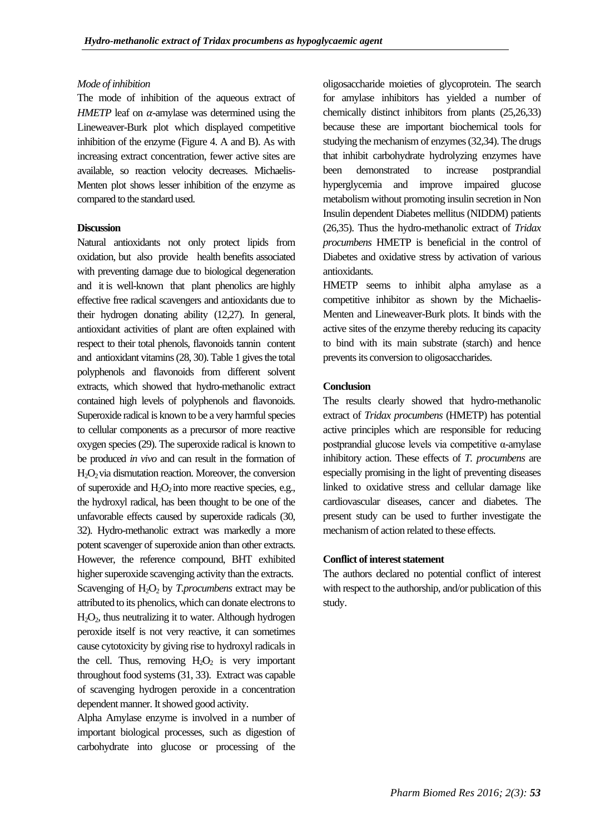### *Mode of inhibition*

The mode of inhibition of the aqueous extract of *HMETP* leaf on  $\alpha$ -amylase was determined using the Lineweaver-Burk plot which displayed competitive inhibition of the enzyme (Figure 4. A and B). As with increasing extract concentration, fewer active sites are available, so reaction velocity decreases. Michaelis-Menten plot shows lesser inhibition of the enzyme as compared to the standard used.

#### **Discussion**

Natural antioxidants not only protect lipids from oxidation, but also provide health benefits associated with preventing damage due to biological degeneration and it is well-known that plant phenolics are highly effective free radical scavengers and antioxidants due to their hydrogen donating ability (12,27). In general, antioxidant activities of plant are often explained with respect to their total phenols, flavonoids tannin content and antioxidant vitamins (28, 30). Table 1 gives the total polyphenols and flavonoids from different solvent extracts, which showed that hydro-methanolic extract contained high levels of polyphenols and flavonoids. Superoxide radical is known to be a very harmful species to cellular components as a precursor of more reactive oxygen species (29). The superoxide radical is known to be produced *in vivo* and can result in the formation of  $H_2O_2$  via dismutation reaction. Moreover, the conversion of superoxide and  $H_2O_2$  into more reactive species, e.g., the hydroxyl radical, has been thought to be one of the unfavorable effects caused by superoxide radicals (30, 32). Hydro-methanolic extract was markedly a more potent scavenger of superoxide anion than other extracts. However, the reference compound, BHT exhibited higher superoxide scavenging activity than the extracts. Scavenging of H<sub>2</sub>O<sub>2</sub> by *T.procumbens* extract may be attributed to its phenolics, which can donate electrons to  $H_2O_2$ , thus neutralizing it to water. Although hydrogen peroxide itself is not very reactive, it can sometimes cause cytotoxicity by giving rise to hydroxyl radicals in the cell. Thus, removing  $H_2O_2$  is very important throughout food systems (31, 33). Extract was capable of scavenging hydrogen peroxide in a concentration dependent manner. It showed good activity.

Alpha Amylase enzyme is involved in a number of important biological processes, such as digestion of carbohydrate into glucose or processing of the

oligosaccharide moieties of glycoprotein. The search for amylase inhibitors has yielded a number of chemically distinct inhibitors from plants (25,26,33) because these are important biochemical tools for studying the mechanism of enzymes (32,34). The drugs that inhibit carbohydrate hydrolyzing enzymes have been demonstrated to increase postprandial hyperglycemia and improve impaired glucose metabolism without promoting insulin secretion in Non Insulin dependent Diabetes mellitus (NIDDM) patients (26,35). Thus the hydro-methanolic extract of *Tridax procumbens* HMETP is beneficial in the control of Diabetes and oxidative stress by activation of various antioxidants.

HMETP seems to inhibit alpha amylase as a competitive inhibitor as shown by the Michaelis-Menten and Lineweaver-Burk plots. It binds with the active sites of the enzyme thereby reducing its capacity to bind with its main substrate (starch) and hence prevents its conversion to oligosaccharides.

#### **Conclusion**

The results clearly showed that hydro-methanolic extract of *Tridax procumbens* (HMETP) has potential active principles which are responsible for reducing postprandial glucose levels via competitive α-amylase inhibitory action. These effects of *T. procumbens* are especially promising in the light of preventing diseases linked to oxidative stress and cellular damage like cardiovascular diseases, cancer and diabetes. The present study can be used to further investigate the mechanism of action related to these effects.

## **Conflict of interest statement**

The authors declared no potential conflict of interest with respect to the authorship, and/or publication of this study.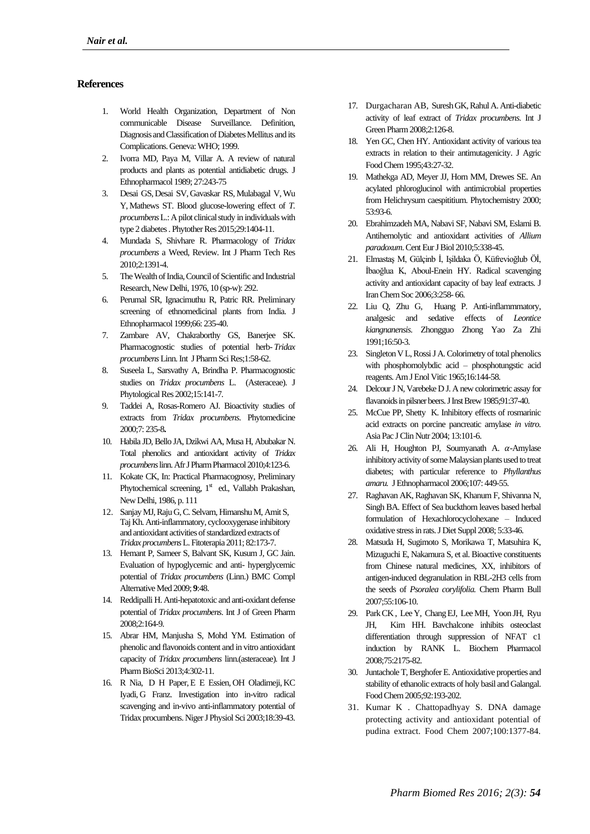## **References**

- 1. World Health Organization, Department of Non communicable Disease Surveillance. Definition, Diagnosis and Classification of Diabetes Mellitus and its Complications. Geneva: WHO; 1999.
- 2. Ivorra MD, Paya M, Villar A. A review of natural products and plants as potential antidiabetic drugs. J Ethnopharmacol 1989; 27:243-75
- 3. [Desai GS,](https://www.ncbi.nlm.nih.gov/pubmed/?term=Desai%20GS%5BAuthor%5D&cauthor=true&cauthor_uid=26096804) [Desai SV,](https://www.ncbi.nlm.nih.gov/pubmed/?term=Desai%20SV%5BAuthor%5D&cauthor=true&cauthor_uid=26096804) [Gavaskar RS,](https://www.ncbi.nlm.nih.gov/pubmed/?term=Gavaskar%20RS%5BAuthor%5D&cauthor=true&cauthor_uid=26096804) [Mulabagal V,](https://www.ncbi.nlm.nih.gov/pubmed/?term=Mulabagal%20V%5BAuthor%5D&cauthor=true&cauthor_uid=26096804)[Wu](https://www.ncbi.nlm.nih.gov/pubmed/?term=Wu%20Y%5BAuthor%5D&cauthor=true&cauthor_uid=26096804)  [Y,](https://www.ncbi.nlm.nih.gov/pubmed/?term=Wu%20Y%5BAuthor%5D&cauthor=true&cauthor_uid=26096804) [Mathews ST.](https://www.ncbi.nlm.nih.gov/pubmed/?term=Mathews%20ST%5BAuthor%5D&cauthor=true&cauthor_uid=26096804) Blood glucose-lowering effect of *T. procumbens* L.: A pilot clinical study in individuals with type 2 diabetes . Phytother Res 2015;29:1404-11.
- 4. Mundada S, Shivhare R. Pharmacology of *Tridax procumbens* a Weed, Review. Int J Pharm Tech Res 2010;2:1391-4.
- 5. The Wealth of India, Council of Scientific and Industrial Research, New Delhi, 1976, 10 (sp-w): 292.
- 6. Perumal SR, Ignacimuthu R, Patric RR. Preliminary screening of ethnomedicinal plants from India. J Ethnopharmacol 1999;66: 235-40.
- 7. Zambare AV, Chakraborthy GS, Banerjee SK. Pharmacognostic studies of potential herb- *Tridax procumbens*Linn. Int J Pharm Sci Res;1:58-62.
- 8. Suseela L, Sarsvathy A, Brindha P. Pharmacognostic studies on *Tridax procumbens* L. (Asteraceae). J Phytological Res 2002;15:141-7.
- 9. Taddei A, Rosas-Romero AJ. Bioactivity studies of extracts from *Tridax procumbens*. Phytomedicine 2000;7: 235-8**.**
- 10. Habila JD, Bello JA, Dzikwi AA, Musa H, Abubakar N. Total phenolics and antioxidant activity of *Tridax procumbens*linn. Afr JPharm Pharmacol2010;4:123-6.
- 11. Kokate CK, In: Practical Pharmacognosy, Preliminary Phytochemical screening, 1<sup>st</sup> ed., Vallabh Prakashan, New Delhi, 1986, p. 111
- 12. Sanjay MJ, Raju G, C. Selvam, Himanshu M, Amit S, Taj Kh[.Anti-inflammatory, cyclooxygenase inhibitory](http://www.sciencedirect.com/science/article/pii/S0367326X10002170)  [and antioxidant activities of standardized extracts of](http://www.sciencedirect.com/science/article/pii/S0367326X10002170)  *[Tridax procumbens](http://www.sciencedirect.com/science/article/pii/S0367326X10002170)*L. [Fitoterapia](https://www.ncbi.nlm.nih.gov/pubmed/20804828) 2011; 82:173-7.
- 13. Hemant P, Sameer S, Balvant SK, Kusum J, GC Jain. [Evaluation of hypoglycemic and anti-](http://bmccomplementalternmed.biomedcentral.com/articles/10.1186/1472-6882-9-48) hyperglycemic potential of *[Tridax procumbens](http://bmccomplementalternmed.biomedcentral.com/articles/10.1186/1472-6882-9-48)* (Linn.) BMC Compl Alternative Med 2009; **9**:48.
- 14. Reddipalli H. Anti-hepatotoxic and anti-oxidant defense potential of *Tridax procumbens*. Int J of Green Pharm 2008;2:164-9.
- 15. Abrar HM, Manjusha S, Mohd YM. [Estimation of](http://citeseerx.ist.psu.edu/viewdoc/download?doi=10.1.1.441.7322&rep=rep1&type=pdf)  [phenolic and flavonoids content and in vitro antioxidant](http://citeseerx.ist.psu.edu/viewdoc/download?doi=10.1.1.441.7322&rep=rep1&type=pdf)  capacity of *Tridax procumbens* [linn.\(asteraceae\).](http://citeseerx.ist.psu.edu/viewdoc/download?doi=10.1.1.441.7322&rep=rep1&type=pdf) Int J Pharm BioSci 2013;4:302-11.
- 16. R Nia, [D H Paper,](https://tspace.library.utoronto.ca/browse?type=author&value=D.+H.+Paper)[E E Essien,](https://tspace.library.utoronto.ca/browse?type=author&value=E.+E.+Essien) [OH Oladimeji,](https://tspace.library.utoronto.ca/browse?type=author&value=O.+H.+Oladimeji) [KC](https://tspace.library.utoronto.ca/browse?type=author&value=K.+C.+Iyadi)  [Iyadi,](https://tspace.library.utoronto.ca/browse?type=author&value=K.+C.+Iyadi) [G Franz.](https://tspace.library.utoronto.ca/browse?type=author&value=G.+Franz) [Investigation into in-vitro radical](http://www.ajol.info/index.php/njps/article/view/32617)  [scavenging and in-vivo anti-inflammatory potential of](http://www.ajol.info/index.php/njps/article/view/32617)  [Tridax procumbens.](http://www.ajol.info/index.php/njps/article/view/32617) Niger J Physiol Sci 2003;18:39-43.
- 17. Durgacharan AB, [Suresh GK,](https://scholar.google.com/citations?user=H9fKEcEAAAAJ&hl=en&oi=sra) Rahul A[. Anti-diabetic](http://search.proquest.com/openview/0d0a4a521f46111336dafa904015d546/1?pq-origsite=gscholar)  [activity of leaf extract of](http://search.proquest.com/openview/0d0a4a521f46111336dafa904015d546/1?pq-origsite=gscholar) *Tridax procumbens*. Int J Green Pharm 2008;2:126-8.
- 18. Yen GC, Chen HY. Antioxidant activity of various tea extracts in relation to their antimutagenicity. J Agric Food Chem1995;43:27-32.
- 19. Mathekga AD, Meyer JJ, Horn MM, Drewes SE. An acylated phloroglucinol with antimicrobial properties from Helichrysum caespititium. Phytochemistry 2000; 53:93-6.
- 20. Ebrahimzadeh MA, Nabavi SF, Nabavi SM, Eslami B. Antihemolytic and antioxidant activities of *Allium paradoxum*. Cent Eur J Biol 2010;5:338-45.
- 21. Elmastaş M, Gülçinb İ, Işildaka Ö, Küfrevioğlub Öİ, İbaoğlua K, Aboul-Enein HY. Radical scavenging activity and antioxidant capacity of bay leaf extracts. J Iran Chem Soc 2006;3:258- 66.
- 22. Liu Q, Zhu G, Huang P. Anti-inflammmatory, analgesic and sedative effects of *Leontice kiangnanensis*. Zhongguo Zhong Yao Za Zhi 1991;16:50-3.
- 23. Singleton V L, Rossi J A. Colorimetry of total phenolics with phosphomolybdic acid – phosphotungstic acid reagents. Am J Enol Vitic 1965;16:144-58.
- 24. Delcour J N, Varebeke D J. A new colorimetric assay for flavanoids in pilsner beers. J Inst Brew 1985;91:37-40.
- 25. McCue PP, Shetty K. Inhibitory effects of rosmarinic acid extracts on porcine pancreatic amylase *in vitro*. Asia Pac J Clin Nutr 2004; 13:101-6.
- 26. Ali H, Houghton PJ, Soumyanath A.  $\alpha$ -Amylase inhibitory activity of some Malaysian plants used to treat diabetes; with particular reference to *Phyllanthus amaru.* J Ethnopharmacol 2006;107: 449-55.
- 27. Raghavan AK, Raghavan SK, Khanum F, Shivanna N, Singh BA. Effect of Sea buckthorn leaves based herbal formulation of Hexachlorocyclohexane – Induced oxidative stress in rats.J Diet Suppl 2008; 5:33-46.
- 28. Matsuda H, Sugimoto S, Morikawa T, Matsuhira K, Mizuguchi E, Nakamura S, et al. Bioactive constituents from Chinese natural medicines, XX, inhibitors of antigen-induced degranulation in RBL-2H3 cells from the seeds of *Psoralea corylifolia.* Chem Pharm Bull 2007;55:106-10.
- 29. Park CK , Lee Y, Chang EJ, Lee MH, Yoon JH, Ryu JH, Kim HH. Bavchalcone inhibits osteoclast differentiation through suppression of NFAT c1 induction by RANK L. Biochem Pharmacol 2008;75:2175-82.
- 30. Juntachole T, Berghofer E. Antioxidative properties and stability of ethanolic extracts of holy basil and Galangal. Food Chem 2005;92:193-202.
- 31. Kumar K . Chattopadhyay S. DNA damage protecting activity and antioxidant potential of pudina extract. Food Chem 2007;100:1377-84.